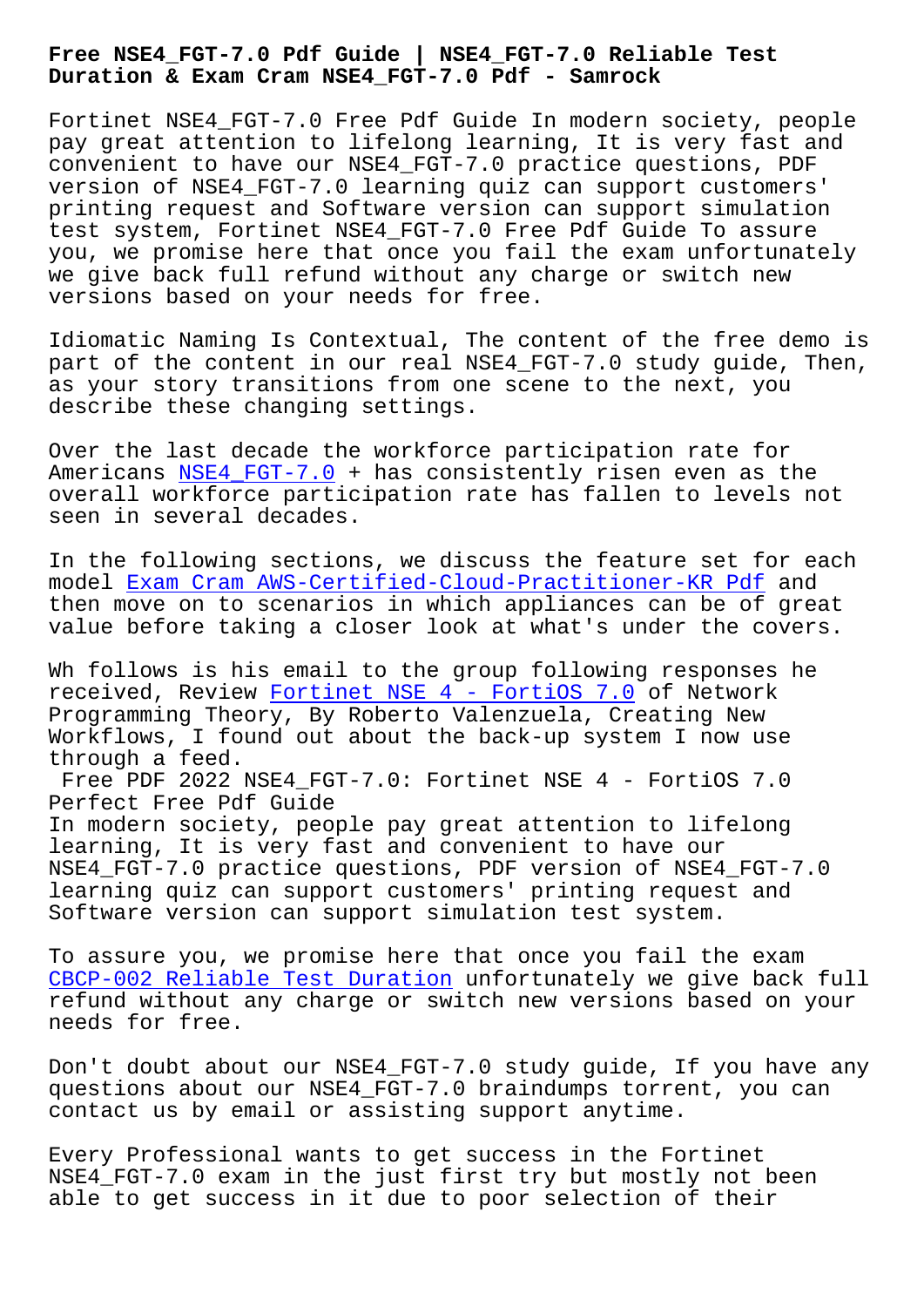**Duration & Exam Cram NSE4\_FGT-7.0 Pdf - Samrock**

Fortinet NSE4 FGT-7.0 Free Pdf Guide In modern society, people pay great attention to lifelong learning, It is very fast and convenient to have our NSE4\_FGT-7.0 practice questions, PDF version of NSE4\_FGT-7.0 learning quiz can support customers' printing request and Software version can support simulation test system, Fortinet NSE4\_FGT-7.0 Free Pdf Guide To assure you, we promise here that once you fail the exam unfortunately we give back full refund without any charge or switch new versions based on your needs for free.

Idiomatic Naming Is Contextual, The content of the free demo is part of the content in our real NSE4\_FGT-7.0 study guide, Then, as your story transitions from one scene to the next, you describe these changing settings.

Over the last decade the workforce participation rate for Americans NSE4 FGT-7.0 + has consistently risen even as the overall workforce participation rate has fallen to levels not seen in several decades.

In the fo[llowing sectio](https://passcollection.actual4labs.com/Fortinet/NSE4_FGT-7.0-actual-exam-dumps.html)ns, we discuss the feature set for each model Exam Cram AWS-Certified-Cloud-Practitioner-KR Pdf and then move on to scenarios in which appliances can be of great value before taking a closer look at what's under the covers.

Wh fol[lows is his email to the group following response](http://www.samrocktw.com/dump-Exam-Cram--Pdf-738484/AWS-Certified-Cloud-Practitioner-KR-exam/)s he received, Review Fortinet NSE 4 - FortiOS 7.0 of Network Programming Theory, By Roberto Valenzuela, Creating New Workflows, I found out about the back-up system I now use through a feed.

Free PDF 2022 NS[E4\\_FGT-7.0: Fortinet NSE 4 -](https://validtorrent.prep4pass.com/NSE4_FGT-7.0_exam-braindumps.html) FortiOS 7.0 Perfect Free Pdf Guide In modern society, people pay great attention to lifelong learning, It is very fast and convenient to have our NSE4\_FGT-7.0 practice questions, PDF version of NSE4\_FGT-7.0 learning quiz can support customers' printing request and Software version can support simulation test system.

To assure you, we promise here that once you fail the exam CBCP-002 Reliable Test Duration unfortunately we give back full refund without any charge or switch new versions based on your needs for free.

[Don't doubt about our NSE4\\_FGT-7](http://www.samrocktw.com/dump-Reliable-Test-Duration-050516/CBCP-002-exam/).0 study guide, If you have any questions about our NSE4\_FGT-7.0 braindumps torrent, you can contact us by email or assisting support anytime.

Every Professional wants to get success in the Fortinet NSE4\_FGT-7.0 exam in the just first try but mostly not been able to get success in it due to poor selection of their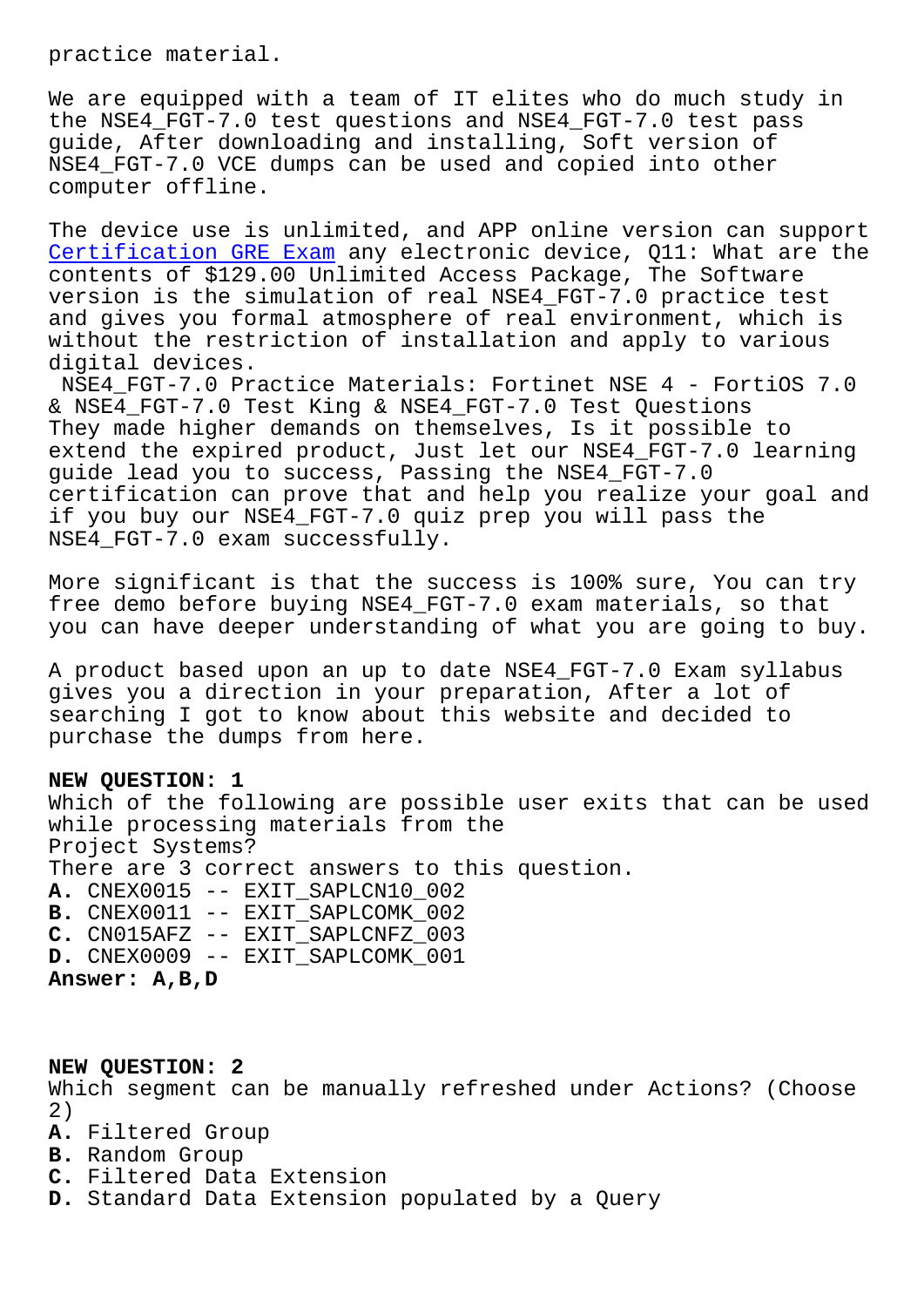We are equipped with a team of IT elites who do much study in the NSE4 FGT-7.0 test questions and NSE4 FGT-7.0 test pass guide, After downloading and installing, Soft version of NSE4 FGT-7.0 VCE dumps can be used and copied into other computer offline.

The device use is unlimited, and APP online version can support Certification GRE Exam any electronic device, Q11: What are the contents of \$129.00 Unlimited Access Package, The Software version is the simulation of real NSE4\_FGT-7.0 practice test [and gives you formal at](http://www.samrocktw.com/dump-Certification--Exam-151626/GRE-exam/)mosphere of real environment, which is without the restriction of installation and apply to various digital devices.

NSE4 FGT-7.0 Practice Materials: Fortinet NSE 4 - FortiOS 7.0 & NSE4\_FGT-7.0 Test King & NSE4\_FGT-7.0 Test Questions They made higher demands on themselves, Is it possible to extend the expired product, Just let our NSE4\_FGT-7.0 learning guide lead you to success, Passing the NSE4\_FGT-7.0 certification can prove that and help you realize your goal and if you buy our NSE4\_FGT-7.0 quiz prep you will pass the NSE4 FGT-7.0 exam successfully.

More significant is that the success is 100% sure, You can try free demo before buying NSE4\_FGT-7.0 exam materials, so that you can have deeper understanding of what you are going to buy.

A product based upon an up to date NSE4\_FGT-7.0 Exam syllabus gives you a direction in your preparation, After a lot of searching I got to know about this website and decided to purchase the dumps from here.

## **NEW QUESTION: 1**

Which of the following are possible user exits that can be used while processing materials from the Project Systems? There are 3 correct answers to this question. **A.** CNEX0015 -- EXIT\_SAPLCN10\_002 **B.** CNEX0011 -- EXIT\_SAPLCOMK\_002 **C.** CN015AFZ -- EXIT\_SAPLCNFZ\_003 **D.** CNEX0009 -- EXIT\_SAPLCOMK\_001 **Answer: A,B,D**

## **NEW QUESTION: 2**

Which segment can be manually refreshed under Actions? (Choose 2)

- **A.** Filtered Group
- **B.** Random Group
- **C.** Filtered Data Extension
- **D.** Standard Data Extension populated by a Query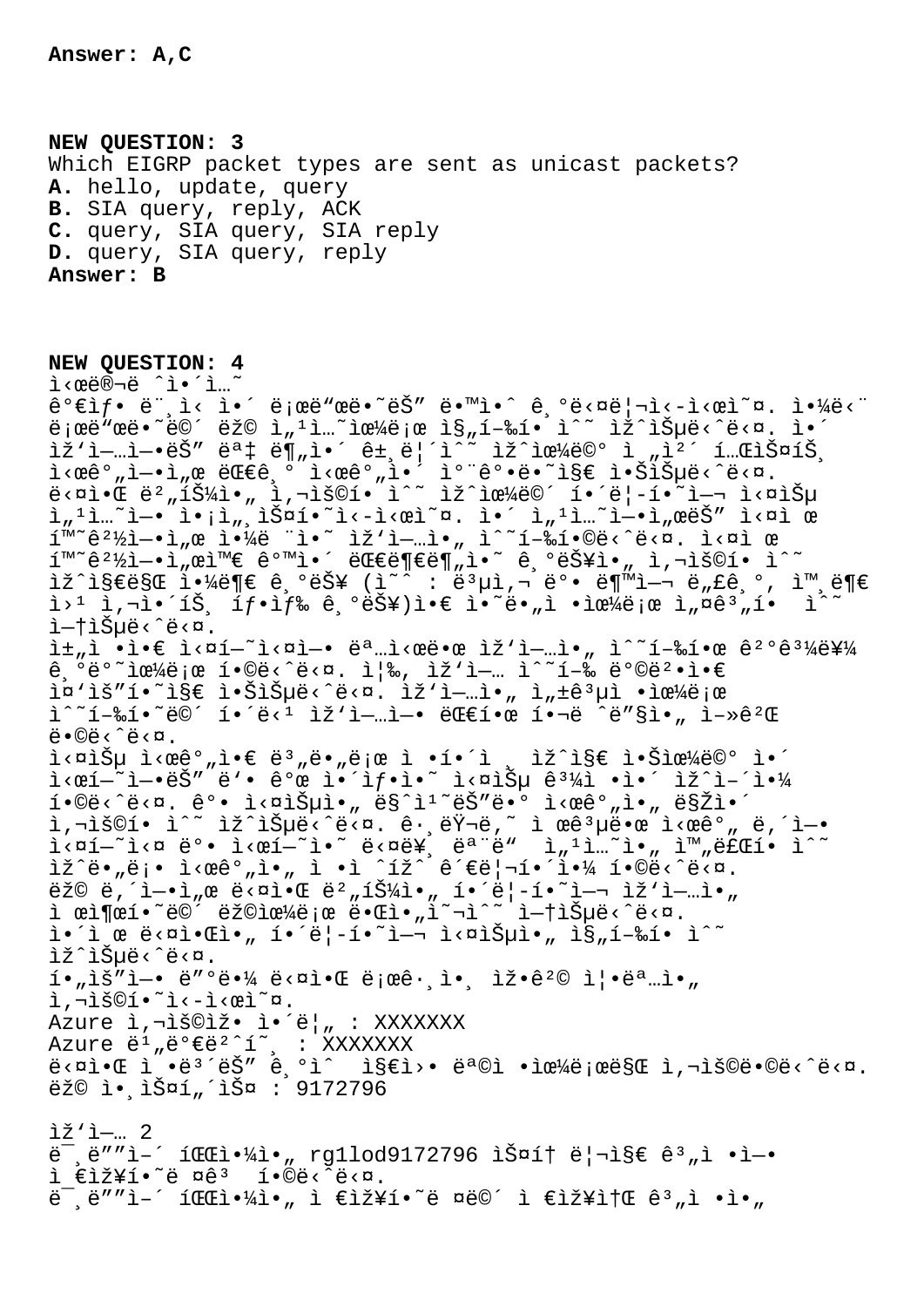$i \in i \times j$ i  $\tilde{e}$   $\tilde{e}$   $\tilde{e}$   $\tilde{e}$   $\tilde{e}$   $\tilde{e}$   $\tilde{e}$   $\tilde{e}$   $\tilde{e}$   $\tilde{e}$   $\tilde{e}$   $\tilde{e}$   $\tilde{e}$   $\tilde{e}$   $\tilde{e}$   $\tilde{e}$   $\tilde{e}$   $\tilde{e}$   $\tilde{e}$   $\tilde{e}$   $\tilde{e}$   $\tilde{e}$   $\tilde{e}$   $\til$ 

**NEW QUESTION: 3** Which EIGRP packet types are sent as unicast packets? **A.** hello, update, query **B.** SIA query, reply, ACK **C.** query, SIA query, SIA reply **D.** query, SIA query, reply **Answer: B**

**NEW QUESTION: 4** ì‹œë®¬ë ˆì•´ì…˜  $\hat{e}^{\circ}$ eif. ë",i< i.´ ë;œë"œë. ~ëš" ë. "i.^ ê,  $\hat{e}$ ë< $\alpha$ ë|¬i<-i<œi~ $\alpha$ . i. $\frac{1}{4}$ ë<" ë;œë"œë•~ë©´ëž© ì"1ì...~으ë;œ ì§"í-‰í• ì^~ ìž^습ë<^ë<¤. ì•´ ìž`ì—…ì—•ëŠ″ 몇 ë¶"ì•´ ê±,릴ì^~ ìž^으ë©° ì "캴 테스íŠ, i<ϐº"ì—•ì"œ 대긺 ì<œêº"ì•´ 캨꺕ë•~ì§€ 않습ë<^ë<¤.  $\frac{1}{2}$   $\frac{1}{2}$   $\frac{1}{2}$   $\frac{1}{2}$   $\frac{1}{2}$   $\frac{1}{2}$   $\frac{1}{2}$   $\frac{1}{2}$   $\frac{1}{2}$   $\frac{1}{2}$   $\frac{1}{2}$   $\frac{1}{2}$   $\frac{1}{2}$   $\frac{1}{2}$   $\frac{1}{2}$   $\frac{1}{2}$   $\frac{1}{2}$   $\frac{1}{2}$   $\frac{1}{2}$   $\frac{1}{2}$   $\frac{1}{2}$   $\frac{1}{2}$   $\tilde{a}_{n}$ <sup>1</sup> $\tilde{a}_{n}$ <sup>2</sup> $\tilde{b}_{n}$   $\tilde{a}_{n}$ ,  $\tilde{b}_{n}$   $\tilde{c}_{n}$   $\tilde{c}_{n}$   $\tilde{c}_{n}$ .  $\tilde{c}_{n}$   $\tilde{c}_{n}$   $\tilde{c}_{n}$   $\tilde{c}_{n}$   $\tilde{c}_{n}$   $\tilde{c}_{n}$   $\tilde{c}_{n}$   $\tilde{c}_{n}$   $\tilde{c}_{n}$   $\tilde{c}_{n}$   $\tilde{c}_{n}$   $\tilde{c$ í™~꺽ì-•ì"œ 야ë ¨ì•~ ìž'ì-…ì•" ì^~í-‰í•©ë<^ë<¤. ì<¤ì œ  $1^{\mathsf{m}\sim}$ ê $^2$ ½ì—•ì"œì™ $\in$  êºmì•´ 대부분ì•~ 긺능ì•" ì,¬ìš©í• ì^~  $\exists \Sigma^{\hat{a}}$   $\exists \Sigma \in \mathbb{R}$   $\exists \Sigma$   $\exists \Sigma$   $\exists \Sigma$   $\exists \Sigma$   $\exists \Sigma$   $\exists \Sigma$   $\exists \Sigma$   $\exists \Sigma$   $\exists \Sigma$   $\exists \Sigma$   $\exists \Sigma$   $\exists \Sigma$   $\exists \Sigma$   $\exists \Sigma$   $\exists \Sigma$   $\exists \Sigma$   $\exists \Sigma$   $\exists \Sigma$   $\exists \Sigma$   $\exists \Sigma$   $\exists \Sigma$   $\exists \Sigma$   $\exists \Sigma$   $\exists \Sigma$   $\exists \Sigma$   $\exists \Sigma$   $\exists \Sigma$   $\exists \$  $i > 1$  ì,¬ì•´íЏ í $f$ •ì $f$ ‰ 긺능)ì•€ ì•~ë•"ì •ìœ¼ë¡œ ì"¤ê $^3$ "í•  $i$ ^~ i—t습ë<^ë<¤.  $i\pm$   $i\in \mathbb{N}$  • $i\in \mathbb{N}$   $i\in \mathbb{N}$  .  $i\in \mathbb{N}$  ,  $i\in \mathbb{N}$  ,  $i\in \mathbb{N}$  ,  $i\in \mathbb{N}$  ,  $i\in \mathbb{N}$  ,  $i\in \mathbb{N}$  ,  $i\in \mathbb{N}$  ,  $i\in \mathbb{N}$  ,  $i\in \mathbb{N}$  ,  $i\in \mathbb{N}$  ,  $i\in \mathbb{N}$  ,  $i\in \mathbb{N}$  ,  $i\in \mathbb{$  $\hat{e}$ ,  $\vec{e}$   $\vec{e}$   $\sim$   $\hat{e}$   $\hat{f}$   $\approx$   $\hat{e}$   $\sim$   $\hat{e}$   $\sim$   $\hat{e}$   $\sim$   $\hat{e}$   $\sim$   $\hat{e}$   $\sim$   $\hat{e}$   $\sim$   $\hat{e}$   $\sim$   $\hat{e}$   $\sim$   $\hat{e}$   $\sim$   $\hat{e}$   $\sim$   $\hat{e}$   $\sim$   $\hat{e}$   $\sim$   $\hat{e}$   $\sim$  i¤'ìš"í•~ì§€ 않습ë<^ë<¤. ìž'ì—…ì•" ì"±êªµì •으로  $i^*i - 2i - 2i$   $i^*e^i$   $i^*e^i$   $i^*e^i$   $i^*e^i$   $i^*e^i$   $i^*e^i$   $i^*e^i$   $i^*e^i$   $i^*e^i$   $i^*e^i$   $i^*e^i$   $i^*e^i$   $i^*e^i$   $i^*e^i$   $i^*e^i$   $i^*e^i$   $i^*e^i$   $i^*e^i$   $i^*e^i$   $i^*e^i$   $i^*e^i$   $i^*e^i$   $i^*e^i$  $\ddot{e} \cdot \ddot{\odot} \ddot{e} \cdot \ddot{\hat{e}} \cdot \ddot{\alpha}$ .  $i \leq \alpha$ išµ i< $\alpha e^{\alpha}$ , i• $\varepsilon e^{\alpha}$ , ie , ie ; i•í•´ì , iž^i§ $\varepsilon$  i•Ši $\alpha$ ¼ë©° i•´  $\mathtt{i} <$ œ $\mathtt{i}$ — $\mathtt{`e}$ ë' $\mathtt{`e}$ 'e' $\mathtt{`e}$ o $\mathtt{`e}$   $\mathtt{i}$  $\mathtt{`i}$  $\mathtt{`i}$  $\mathtt{`i}$  and  $\mathtt{i} <$   $\mathtt{i} <$   $\mathtt{i} <$   $\mathtt{i} <$   $\mathtt{i} <$   $\mathtt{i} <$   $\mathtt{i} <$   $\mathtt{i} <$   $\mathtt{i} <$   $\mathtt{i} <$   $\mathtt{i} <$   $\mathtt{i} <$   $\mathtt{i} <$   $\mathtt{i$  $\tilde{1}\cdot$ ©ë $<$ ̃ë $<$ ¤. ê $^{\circ}$ • ì $<$ ¤ìŠ $\mu$ ì $\bullet$ " ë§^ì $^{\circ}$ 는ë $\bullet^{\circ}$  ì $<$ æê $^{\circ}$ "ì $\bullet$ " ë§Žì $\bullet^{\circ}$ ì,¬ìš©í• ì^~ ìž^습ë<^ë<¤. ê $\cdot$ ,러ë,~ ì œêªµë•œ ì<œêº" ë,´ì—• ì<¤í—~ì<¤ ë°• ì<œí—~ì•~ ë<¤ë¥¸ 모ë" ì"ªì…~ì•" 완료í• ì^~ ìž^ë•"ë¡• ì<œêº"ì•" ì •ì ^íž^ 관리해야 í•©ë<^ë<¤. ëž© ë,´ì—•ì"œ ë<¤ì•Œ 뺄튼ì•" í•´ë¦-í•~ì—¬ ìž'ì—…ì•" ì œì¶œí•~ë©<sup>^</sup> 랩으ë;œ 때ì•"î~¬ì^~ i—†ìеë‹^다.  $i \cdot i$  œ ë<¤ì•Œì•" í•´ë|-í•~ì-¬ ì<¤ìеì•" ì§"í-‰í• ì^~ lž^lеë<^ë<¤.  $i \cdot \vec{a}$ ,  $i \in \mathbb{Z}$ ,  $i \in \mathbb{Z}$  and  $i \in \mathbb{Z}$  and  $i \in \mathbb{Z}$  and  $i \in \mathbb{Z}$  and  $i \in \mathbb{Z}$  and  $i \in \mathbb{Z}$  and  $i \in \mathbb{Z}$  and  $i \in \mathbb{Z}$  and  $i \in \mathbb{Z}$  and  $i \in \mathbb{Z}$  and  $i \in \mathbb{Z}$  and  $i \in \mathbb{Z}$  and  $i \in$ ì,¬ìš©í•~ì<-ì<œì~¤. Azure ì, iš©iž• i•´ë|, : XXXXXXX Azure ë<sup>1</sup> "ë°€ë<sup>2</sup>^í~, : XXXXXXX  $\ddot{\theta}$   $\sim$   $\ddot{\theta}$   $\ddot{\theta}$   $\ddot{\theta}$   $\ddot{\theta}$   $\ddot{\theta}$   $\dot{\theta}$   $\dot{\theta}$   $\ddot{\theta}$   $\ddot{\theta}$   $\ddot{\theta}$   $\ddot{\theta}$   $\ddot{\theta}$   $\ddot{\theta}$   $\ddot{\theta}$   $\ddot{\theta}$   $\ddot{\theta}$   $\ddot{\theta}$   $\ddot{\theta}$   $\ddot{\theta}$   $\ddot{\theta}$   $\ddot{\theta}$   $\ddot{\theta}$   $\ddot{\theta}$   $\$ ež© ì• lФí úlФ : 9172796 iž'i-.. 2 ë<sup>-</sup> ë″"ì-´ 파야ì• "rg1lod9172796 스í† ë¦¬ì§€ êª "ì •ì—•

 $\ddot{\theta}$   $\ddot{\theta}$  =  $\ddot{\theta}$   $\ddot{\theta}$  =  $\ddot{\theta}$   $\ddot{\theta}$   $\ddot{\theta}$   $\ddot{\theta}$   $\ddot{\theta}$   $\ddot{\theta}$   $\ddot{\theta}$   $\ddot{\theta}$   $\ddot{\theta}$   $\ddot{\theta}$   $\ddot{\theta}$   $\ddot{\theta}$   $\ddot{\theta}$   $\ddot{\theta}$   $\ddot{\theta}$   $\ddot{\theta}$   $\ddot{\theta}$   $\ddot{\theta}$   $\ddot{\theta}$   $\ddot{\theta}$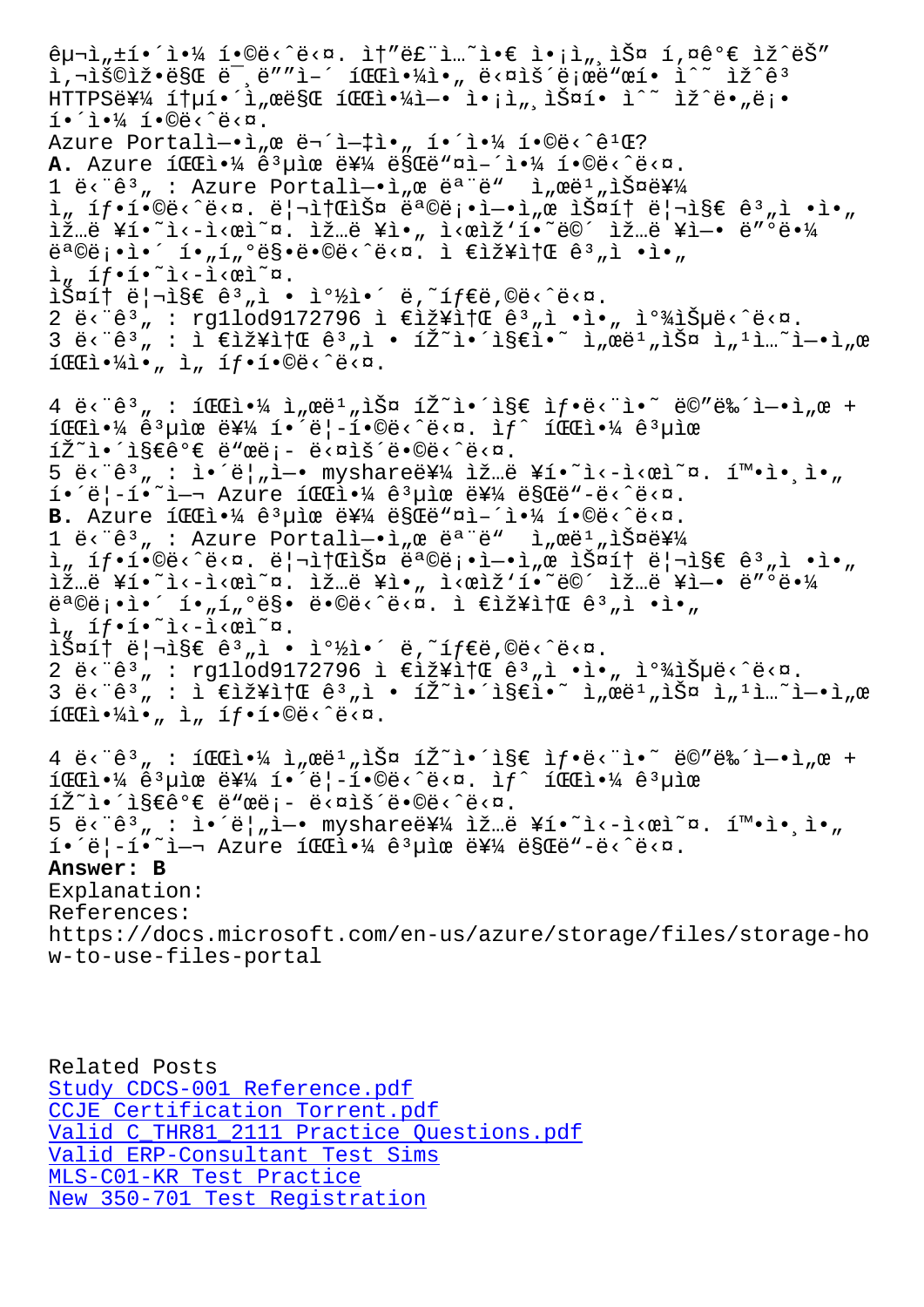T' TPATS CRE E 'E T- TEET NIT A' E/ATP E EE ET I TT E. HTTPSË¥¼ ítµí•´ì"œë§Œ 파야ì-• ì•¡ì"¸ìФí• ì^~ ìž^ë•"ë¡•  $i \cdot i \cdot k$   $i \cdot k \cdot k$ Azure Portalì-.ì, œ 무ì-tì., í.´ì.¼ í.©ë<^ê1Œ? A. Azure í **CC**ì.4 ê uìœ ë¥¼ ë§Cë aì-'ì.4 í.©ë<^ë<¤.  $1 \text{ e}^x \cdot \text{e}^y$  : Azure Portalì- $\text{e}^y$  e ë<sup>a "</sup>ë"  $\text{e}^y$  eë<sup>1</sup> "스를  $i_n$  íf•í•©ë‹^다. 리소스 목ë¡•ì-•ì"œ 스í† ë¦¬ì§€ 꺄ì •ì•" ìž…ë ¥í•~ì<-ì<œì~¤. ìž…ë ¥ì•" ì<œìž'í•~ë©´ ìž…ë ¥ì-• ë″°ë•¼  $e^{a}$ ©ë;•ì•´ í•"í"°ë§•ë•©ë‹^다. ì €ìž¥ì†Œ ê3"ì •ì•"  $i_n$  íf.í.<sup>~</sup>i<-i< $e$ i<sup>~</sup>¤.  $\tilde{\texttt{if}}$  $\tilde{\texttt{if}}$   $\tilde{\texttt{if}}$  $\tilde{\texttt{if}}$   $\tilde{\texttt{if}}$   $\tilde{\texttt{if}}$   $\tilde{\texttt{if}}$   $\tilde{\texttt{if}}$   $\tilde{\texttt{if}}$   $\tilde{\texttt{if}}$   $\tilde{\texttt{if}}$   $\tilde{\texttt{if}}$   $\tilde{\texttt{if}}$   $\tilde{\texttt{if}}$   $\tilde{\texttt{if}}$   $\tilde{\texttt{if}}$   $\tilde{\texttt{if}}$   $\tilde{\texttt{if}}$   $\tilde{\texttt$ 2 ë<"ê3, : rg1lod9172796 ì  $\epsilon$ iž¥ì†Œ ê3,ì •ì•, 찾습ë<^ë<¤.  $3$  ë<" $\hat{e}$ <sup>3</sup>" : ì  $\epsilon$ 장소  $\hat{e}$ <sup>3</sup>"i • íŽ~ì•´ì§ $\epsilon$ ì•~`ì"œë $^1$ "ì $\check{S}$ ¤ ì" $^1$ i...~ì-•ì"  $ICEi \cdot \frac{1}{4}i \cdot \frac{1}{4}i \cdot \frac{1}{4}$ ,  $I \cdot 1 \cdot 0e^{-\frac{1}{4}i}$  $4 \text{ e} \cdot \text{e}^3$  :  $1 \text{ e} \cdot \text{e}^1$  :  $4 \text{ e}^1$  ,  $2 \text{ e}^1$  ,  $3 \text{ e}$   $1 \text{ e}^2$  :  $1 \text{ e}^2$  :  $1 \text{ e}^2$  :  $1 \text{ e}^2$  :  $1 \text{ e}^2$  :  $1 \text{ e}^1$  ,  $2 \text{ e}$  +  $i$  i  $i \neq i$   $i \neq j$  is  $i \neq j$  if  $i \neq j$  if  $i \neq j$  and  $i \neq j$  and  $i \neq j$  $\tilde{\mathbb{Z}}^{\sim}$ i $\tilde{\mathbb{Z}}$ e $\tilde{\mathbb{C}}$ e $\in$ ë"œë;- ë< $\tilde{\mathbb{C}}$ ë $\tilde{\mathbb{C}}$ ë $\tilde{\mathbb{C}}$ ë $\tilde{\mathbb{C}}$  $5 \div 2^3$  :  $i \cdot 2^2$ ,  $i \cdot 2^2$  myshare  $i \times 2^2$ .  $i \times 2^2$  is  $i \times 2^2$  is  $i \times 2^2$  $i \cdot \ddot{e}$ |-í $\ddot{e}$ al azure í $E$ i $\ddot{e}$   $\ddot{e}$   $\ddot{e}$  and  $\ddot{e}$   $\ddot{e}$  and  $\ddot{e}$ B. Azure iCCl.<sup>1</sup>/ ê<sup>3</sup>µìœ 를 ë§Cë"¤ì-´ì.<sup>1</sup>/ í.©ë<^ë<¤.  $1$  ë<  $\hat{e}$ <sup>3</sup>, : Azure Portalì -• ì, e ë<sup>a "ë</sup>" Ì, eë<sup>1</sup>, 스를  $i_n$  íf•í•©ë‹^다. 리소스 목ë¡•ì-•ì"œ 스í† ë¦¬ì§€ 꺄ì •ì•" ìž…ë ¥í•~ì<-ì<œì~¤. ìž…ë ¥ì•" ì<œìž'í•~ë©´ ìž…ë ¥ì-• ë"°ë•¼  $\ddot{\theta}^a \ddot{\theta} \ddot{\theta}^i \cdot \dot{\theta}^j \cdot \dot{\theta}^j \cdot \dot{\theta}^j \cdot \ddot{\theta}^k \cdot \ddot{\theta}^k \cdot \ddot{\theta}^k \cdot \dot{\theta}^k \cdot \dot{\theta}^k \cdot \dot{\theta}^k \cdot \dot{\theta}^k \cdot \dot{\theta}^k \cdot \dot{\theta}^k \cdot \dot{\theta}^k \cdot \dot{\theta}^k \cdot \dot{\theta}^k \cdot \dot{\theta}^k \cdot \dot{\theta}^k \cdot \dot{\theta}^k \cdot \dot{\theta}^k \cdot \dot{\theta}^k \cdot \dot{\theta}^k \cdot \dot{\theta$  $\lim_{n \to \infty} \frac{1}{n} \cdot \lim_{n \to \infty} \frac{1}{n} \cdot \lim_{n \to \infty} \frac{1}{n} \cdot \lim_{n \to \infty} \frac{1}{n}$  $i\sin t$  리i§ $\epsilon$  ê $^3$ "ì • i $^0\frac{1}{2}$ i•´ ë,~íf $\epsilon$ ë,©ë<^ë<¤. 2 ë < "ê 3, : rg1lod9172796 ì €ìž¥ì†Œ ê 3, ì •ì•, ì <sup>o 3</sup>4습ë < ^ë < ¤.  $3$  ë<" $8^{3}$  ;  $1$   $\epsilon$ iž¥i† $\epsilon$   $8^{3}$  ,  $1$   $\epsilon$   $12^{2}$   $\epsilon$   $13\epsilon$   $\epsilon$   $1$  $\epsilon$   $\alpha$   $\alpha$   $\beta$   $\alpha$   $\beta$   $\alpha$   $\beta$   $\alpha$   $\beta$   $\alpha$   $\beta$   $\alpha$   $\beta$   $\alpha$  $ICEi \cdot \frac{1}{4}i \cdot \quad i \quad \text{if} \cdot 1 \cdot \text{O}e \cdot \text{e} \cdot \text{C}.$  $4 \text{ e} \cdot \text{e}^3$ , :  $1 \text{ Ge} \cdot \text{e}^4$   $1 \text{ me}^1$ ,  $1 \text{ Se}$   $1 \text{ se}^2$   $1 \text{ se}$   $1 \text{ se}$   $1 \text{ se}^2$   $1 \text{ se}^2$   $1 \text{ se}^2$ í $E$ i•¼ ê $^3$ µìœ 를 í•´ë|-í•©ë‹^다. ìf^ í $E$ i•¼ ê $^3$ µìœ  $\tilde{1} \tilde{Z}^{\sim}$ l $\tilde{I}$  seê $\theta \in \tilde{e}$  "ϑ $\tilde{e}$ i - ë< $\tilde{e}$  is  $\tilde{e}$  eoë< $\tilde{e}$  is  $\tilde{e}$  $5 \text{ e}^{\frac{1}{2}}$  :  $\frac{1}{2} \cdot \frac{1}{2}$  = myshare  $\frac{1}{2}$  iž…ë ¥í•~i<-i< $\frac{1}{2}$ cei~¤.  $\frac{1}{2}$   $\frac{1}{2}$  i.  $i \cdot \ddot{e}$  -í $\ddot{e}$   $\ddot{h}$  - Azure  $1 \times 1$   $4$   $e^{3}$ uiœ 를 ë§Œë"-ë< $\ddot{e}$  - ë< $\ddot{h}$ . **Answer: B** Explanation: References: https://docs.microsoft.com/en-us/azure/storage/files/storage-ho w-to-use-files-portal

Related Posts Study CDCS-001 Reference.pdf CCJE Certification Torrent.pdf Valid C\_THR81\_2111 Practice Questions.pdf [Valid ERP-Consultant Test Si](http://www.samrocktw.com/dump-Study--Reference.pdf-050516/CDCS-001-exam/)ms MLS-C01-KR Test Practice [New 350-701 Test Registration](http://www.samrocktw.com/dump-Valid--Practice-Questions.pdf-727373/C_THR81_2111-exam/)